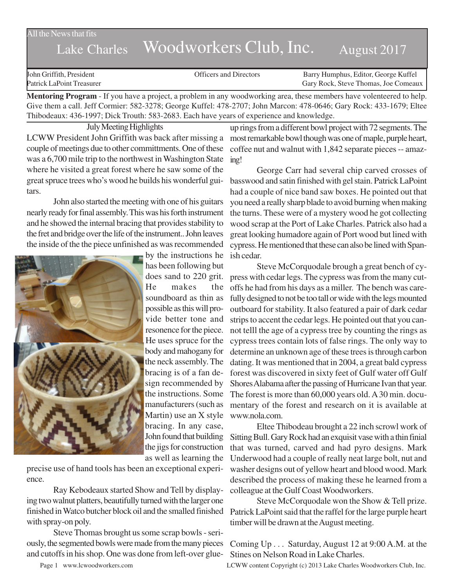## All the News that fits

## Lake Charles Woodworkers Club, Inc. August 2017

| John Griffith, President  | Officers and Directors | Barry Humphus, Editor, George Kuffel |
|---------------------------|------------------------|--------------------------------------|
| Patrick LaPoint Treasurer |                        | Gary Rock, Steve Thomas, Joe Comeaux |
| _ _ _ _                   |                        |                                      |

**Mentoring Program** - If you have a project, a problem in any woodworking area, these members have volenteered to help. Give them a call. Jeff Cormier: 582-3278; George Kuffel: 478-2707; John Marcon: 478-0646; Gary Rock: 433-1679; Eltee Thibodeaux: 436-1997; Dick Trouth: 583-2683. Each have years of experience and knowledge.

July Meeting Highlights

LCWW President John Griffith was back after missing a couple of meetings due to other committments. One of these was a 6,700 mile trip to the northwest in Washington State where he visited a great forest where he saw some of the great spruce trees who's wood he builds his wonderful guitars.

John also started the meeting with one of his guitars nearly ready for final assembly. This was his forth instrument and he showed the internal bracing that provides stability to the fret and bridge over the life of the instrument.. John leaves the inside of the the piece unfinished as was recommended



by the instructions he has been following but does sand to 220 grit. He makes the soundboard as thin as possible as this will provide better tone and resonence for the piece. He uses spruce for the body and mahogany for the neck assembly. The bracing is of a fan design recommended by the instructions. Some manufacturers (such as Martin) use an X style bracing. In any case, John found that building the jigs for construction as well as learning the

precise use of hand tools has been an exceptional experience.

Ray Kebodeaux started Show and Tell by displaying two walnut platters, beautifully turned with the larger one finished in Watco butcher block oil and the smalled finished Patrick LaPoint said that the raffel for the large purple heart with spray-on poly.

Steve Thomas brought us some scrap bowls - seriously, the segmented bowls were made from the many pieces and cutoffs in his shop. One was done from left-over glue-

up rings from a different bowl project with 72 segments. The most remarkable bowl though was one of maple, purple heart, coffee nut and walnut with 1,842 separate pieces -- amazing!

George Carr had several chip carved crosses of basswood and satin finished with gel stain. Patrick LaPoint had a couple of nice band saw boxes. He pointed out that you need a really sharp blade to avoid burning when making the turns. These were of a mystery wood he got collecting wood scrap at the Port of Lake Charles. Patrick also had a great looking humadore again of Port wood but lined with cypress. He mentioned that these can also be lined with Spanish cedar.

Steve McCorquodale brough a great bench of cypress with cedar legs. The cypress was from the many cutoffs he had from his days as a miller. The bench was carefully designed to not be too tall or wide with the legs mounted outboard for stability. It also featured a pair of dark cedar strips to accent the cedar legs. He pointed out that you cannot telll the age of a cypress tree by counting the rings as cypress trees contain lots of false rings. The only way to determine an unknown age of these trees is through carbon dating. It was mentioned that in 2004, a great bald cypress forest was discovered in sixty feet of Gulf water off Gulf Shores Alabama after the passing of Hurricane Ivan that year. The forest is more than 60,000 years old. A 30 min. documentary of the forest and research on it is available at www.nola.com.

Eltee Thibodeau brought a 22 inch scrowl work of Sitting Bull. Gary Rock had an exquisit vase with a thin finial that was turned, carved and had pyro designs. Mark Underwood had a couple of really neat large bolt, nut and washer designs out of yellow heart and blood wood. Mark described the process of making these he learned from a colleague at the Gulf Coast Woodworkers.

Steve McCorquodale won the Show & Tell prize. timber will be drawn at the August meeting.

Coming Up . . . Saturday, August 12 at 9:00 A.M. at the Stines on Nelson Road in Lake Charles.

Page 1 www.lcwoodworkers.com LCWW content Copyright (c) 2013 Lake Charles Woodworkers Club, Inc.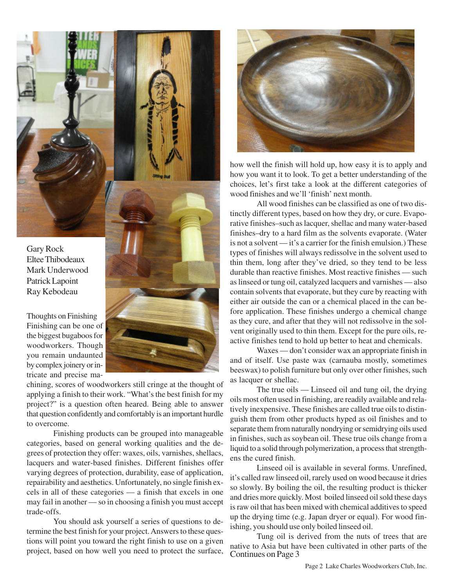

Gary Rock Eltee Thibodeaux Mark Underwood Patrick Lapoint Ray Kebodeau

Thoughts on Finishing Finishing can be one of the biggest bugaboos for woodworkers. Though you remain undaunted by complex joinery or intricate and precise ma-



chining, scores of woodworkers still cringe at the thought of applying a finish to their work. "What's the best finish for my project?" is a question often heared. Being able to answer that question confidently and comfortably is an important hurdle to overcome.

Finishing products can be grouped into manageable categories, based on general working qualities and the degrees of protection they offer: waxes, oils, varnishes, shellacs, lacquers and water-based finishes. Different finishes offer varying degrees of protection, durability, ease of application, repairability and aesthetics. Unfortunately, no single finish excels in all of these categories — a finish that excels in one may fail in another — so in choosing a finish you must accept trade-offs.

You should ask yourself a series of questions to determine the best finish for your project. Answers to these questions will point you toward the right finish to use on a given project, based on how well you need to protect the surface,



how well the finish will hold up, how easy it is to apply and how you want it to look. To get a better understanding of the choices, let's first take a look at the different categories of wood finishes and we'll 'finish' next month.

All wood finishes can be classified as one of two distinctly different types, based on how they dry, or cure. Evaporative finishes–such as lacquer, shellac and many water-based finishes–dry to a hard film as the solvents evaporate. (Water is not a solvent — it's a carrier for the finish emulsion.) These types of finishes will always redissolve in the solvent used to thin them, long after they've dried, so they tend to be less durable than reactive finishes. Most reactive finishes — such as linseed or tung oil, catalyzed lacquers and varnishes — also contain solvents that evaporate, but they cure by reacting with either air outside the can or a chemical placed in the can before application. These finishes undergo a chemical change as they cure, and after that they will not redissolve in the solvent originally used to thin them. Except for the pure oils, reactive finishes tend to hold up better to heat and chemicals.

Waxes — don't consider wax an appropriate finish in and of itself. Use paste wax (carnauba mostly, sometimes beeswax) to polish furniture but only over other finishes, such as lacquer or shellac.

The true oils — Linseed oil and tung oil, the drying oils most often used in finishing, are readily available and relatively inexpensive. These finishes are called true oils to distinguish them from other products hyped as oil finishes and to separate them from naturally nondrying or semidrying oils used in finishes, such as soybean oil. These true oils change from a liquid to a solid through polymerization, a process that strengthens the cured finish.

Linseed oil is available in several forms. Unrefined, it's called raw linseed oil, rarely used on wood because it dries so slowly. By boiling the oil, the resulting product is thicker and dries more quickly. Most boiled linseed oil sold these days is raw oil that has been mixed with chemical additives to speed up the drying time (e.g. Japan dryer or equal). For wood finishing, you should use only boiled linseed oil.

Tung oil is derived from the nuts of trees that are native to Asia but have been cultivated in other parts of the Continues on Page 3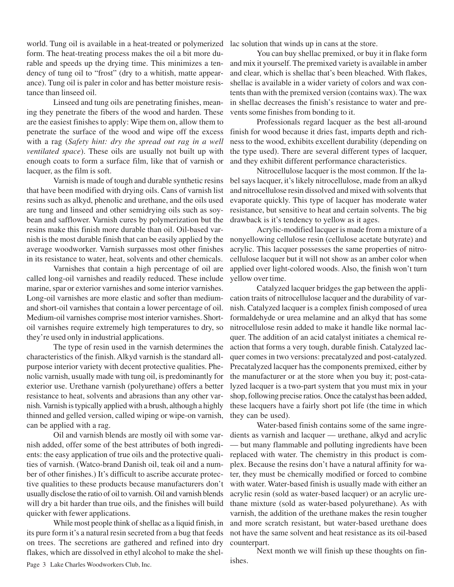world. Tung oil is available in a heat-treated or polymerized lac solution that winds up in cans at the store. form. The heat-treating process makes the oil a bit more durable and speeds up the drying time. This minimizes a tendency of tung oil to "frost" (dry to a whitish, matte appearance). Tung oil is paler in color and has better moisture resistance than linseed oil.

Linseed and tung oils are penetrating finishes, meaning they penetrate the fibers of the wood and harden. These are the easiest finishes to apply: Wipe them on, allow them to penetrate the surface of the wood and wipe off the excess with a rag (*Safety hint: dry the spread out rag in a well ventilated space*). These oils are usually not built up with enough coats to form a surface film, like that of varnish or lacquer, as the film is soft.

Varnish is made of tough and durable synthetic resins that have been modified with drying oils. Cans of varnish list resins such as alkyd, phenolic and urethane, and the oils used are tung and linseed and other semidrying oils such as soybean and safflower. Varnish cures by polymerization but the resins make this finish more durable than oil. Oil-based varnish is the most durable finish that can be easily applied by the average woodworker. Varnish surpasses most other finishes in its resistance to water, heat, solvents and other chemicals.

Varnishes that contain a high percentage of oil are called long-oil varnishes and readily reduced. These include marine, spar or exterior varnishes and some interior varnishes. Long-oil varnishes are more elastic and softer than mediumand short-oil varnishes that contain a lower percentage of oil. Medium-oil varnishes comprise most interior varnishes. Shortoil varnishes require extremely high temperatures to dry, so they're used only in industrial applications.

The type of resin used in the varnish determines the characteristics of the finish. Alkyd varnish is the standard allpurpose interior variety with decent protective qualities. Phenolic varnish, usually made with tung oil, is predominantly for exterior use. Urethane varnish (polyurethane) offers a better resistance to heat, solvents and abrasions than any other varnish. Varnish is typically applied with a brush, although a highly thinned and gelled version, called wiping or wipe-on varnish, can be applied with a rag.

Oil and varnish blends are mostly oil with some varnish added, offer some of the best attributes of both ingredients: the easy application of true oils and the protective qualities of varnish. (Watco-brand Danish oil, teak oil and a number of other finishes.) It's difficult to ascribe accurate protective qualities to these products because manufacturers don't usually disclose the ratio of oil to varnish. Oil and varnish blends will dry a bit harder than true oils, and the finishes will build quicker with fewer applications.

While most people think of shellac as a liquid finish, in its pure form it's a natural resin secreted from a bug that feeds on trees. The secretions are gathered and refined into dry flakes, which are dissolved in ethyl alcohol to make the shel-

You can buy shellac premixed, or buy it in flake form and mix it yourself. The premixed variety is available in amber and clear, which is shellac that's been bleached. With flakes, shellac is available in a wider variety of colors and wax contents than with the premixed version (contains wax). The wax in shellac decreases the finish's resistance to water and prevents some finishes from bonding to it.

Professionals regard lacquer as the best all-around finish for wood because it dries fast, imparts depth and richness to the wood, exhibits excellent durability (depending on the type used). There are several different types of lacquer, and they exhibit different performance characteristics.

Nitrocellulose lacquer is the most common. If the label says lacquer, it's likely nitrocellulose, made from an alkyd and nitrocellulose resin dissolved and mixed with solvents that evaporate quickly. This type of lacquer has moderate water resistance, but sensitive to heat and certain solvents. The big drawback is it's tendency to yellow as it ages.

Acrylic-modified lacquer is made from a mixture of a nonyellowing cellulose resin (cellulose acetate butyrate) and acrylic. This lacquer possesses the same properties of nitrocellulose lacquer but it will not show as an amber color when applied over light-colored woods. Also, the finish won't turn yellow over time.

Catalyzed lacquer bridges the gap between the application traits of nitrocellulose lacquer and the durability of varnish. Catalyzed lacquer is a complex finish composed of urea formaldehyde or urea melamine and an alkyd that has some nitrocellulose resin added to make it handle like normal lacquer. The addition of an acid catalyst initiates a chemical reaction that forms a very tough, durable finish. Catalyzed lacquer comes in two versions: precatalyzed and post-catalyzed. Precatalyzed lacquer has the components premixed, either by the manufacturer or at the store when you buy it; post-catalyzed lacquer is a two-part system that you must mix in your shop, following precise ratios. Once the catalyst has been added, these lacquers have a fairly short pot life (the time in which they can be used).

Water-based finish contains some of the same ingredients as varnish and lacquer — urethane, alkyd and acrylic — but many flammable and polluting ingredients have been replaced with water. The chemistry in this product is complex. Because the resins don't have a natural affinity for water, they must be chemically modified or forced to combine with water. Water-based finish is usually made with either an acrylic resin (sold as water-based lacquer) or an acrylic urethane mixture (sold as water-based polyurethane). As with varnish, the addition of the urethane makes the resin tougher and more scratch resistant, but water-based urethane does not have the same solvent and heat resistance as its oil-based counterpart.

Next month we will finish up these thoughts on finishes.

Page 3 Lake Charles Woodworkers Club, Inc.